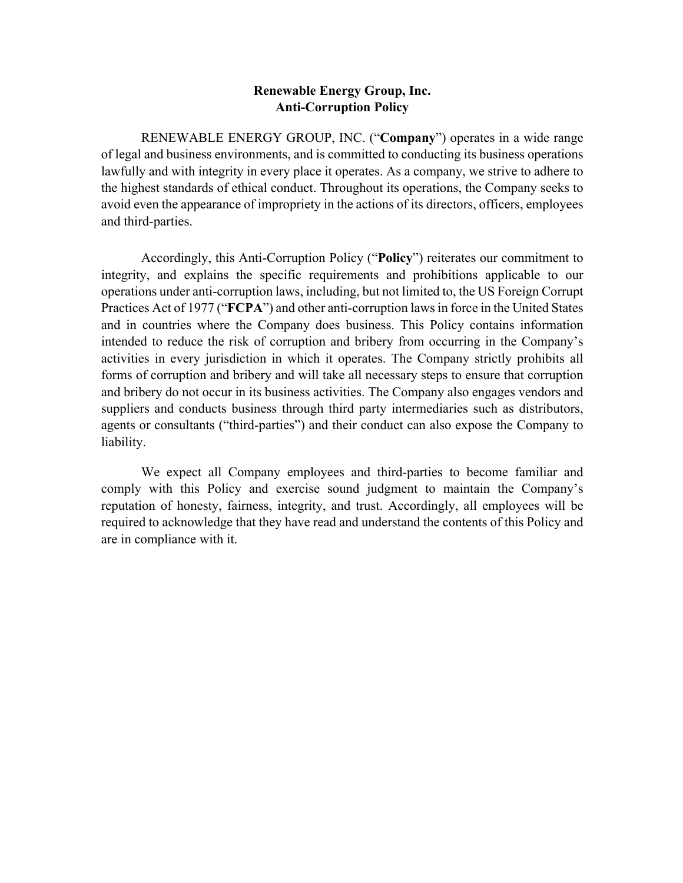## **Renewable Energy Group, Inc. Anti-Corruption Policy**

RENEWABLE ENERGY GROUP, INC. ("**Company**") operates in a wide range of legal and business environments, and is committed to conducting its business operations lawfully and with integrity in every place it operates. As a company, we strive to adhere to the highest standards of ethical conduct. Throughout its operations, the Company seeks to avoid even the appearance of impropriety in the actions of its directors, officers, employees and third-parties.

Accordingly, this Anti-Corruption Policy ("**Policy**") reiterates our commitment to integrity, and explains the specific requirements and prohibitions applicable to our operations under anti-corruption laws, including, but not limited to, the US Foreign Corrupt Practices Act of 1977 ("**FCPA**") and other anti-corruption laws in force in the United States and in countries where the Company does business. This Policy contains information intended to reduce the risk of corruption and bribery from occurring in the Company's activities in every jurisdiction in which it operates. The Company strictly prohibits all forms of corruption and bribery and will take all necessary steps to ensure that corruption and bribery do not occur in its business activities. The Company also engages vendors and suppliers and conducts business through third party intermediaries such as distributors, agents or consultants ("third-parties") and their conduct can also expose the Company to liability.

We expect all Company employees and third-parties to become familiar and comply with this Policy and exercise sound judgment to maintain the Company's reputation of honesty, fairness, integrity, and trust. Accordingly, all employees will be required to acknowledge that they have read and understand the contents of this Policy and are in compliance with it.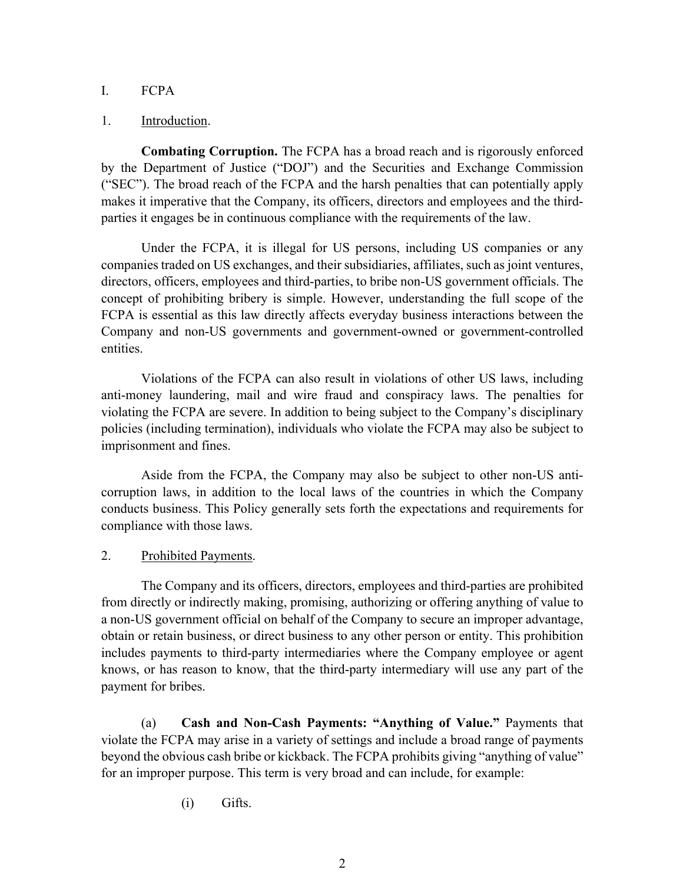# I. FCPA

### 1. Introduction.

**Combating Corruption.** The FCPA has a broad reach and is rigorously enforced by the Department of Justice ("DOJ") and the Securities and Exchange Commission ("SEC"). The broad reach of the FCPA and the harsh penalties that can potentially apply makes it imperative that the Company, its officers, directors and employees and the thirdparties it engages be in continuous compliance with the requirements of the law.

Under the FCPA, it is illegal for US persons, including US companies or any companies traded on US exchanges, and their subsidiaries, affiliates, such as joint ventures, directors, officers, employees and third-parties, to bribe non-US government officials. The concept of prohibiting bribery is simple. However, understanding the full scope of the FCPA is essential as this law directly affects everyday business interactions between the Company and non-US governments and government-owned or government-controlled entities.

Violations of the FCPA can also result in violations of other US laws, including anti-money laundering, mail and wire fraud and conspiracy laws. The penalties for violating the FCPA are severe. In addition to being subject to the Company's disciplinary policies (including termination), individuals who violate the FCPA may also be subject to imprisonment and fines.

Aside from the FCPA, the Company may also be subject to other non-US anticorruption laws, in addition to the local laws of the countries in which the Company conducts business. This Policy generally sets forth the expectations and requirements for compliance with those laws.

# 2. Prohibited Payments.

The Company and its officers, directors, employees and third-parties are prohibited from directly or indirectly making, promising, authorizing or offering anything of value to a non-US government official on behalf of the Company to secure an improper advantage, obtain or retain business, or direct business to any other person or entity. This prohibition includes payments to third-party intermediaries where the Company employee or agent knows, or has reason to know, that the third-party intermediary will use any part of the payment for bribes.

(a) **Cash and Non-Cash Payments: "Anything of Value."** Payments that violate the FCPA may arise in a variety of settings and include a broad range of payments beyond the obvious cash bribe or kickback. The FCPA prohibits giving "anything of value" for an improper purpose. This term is very broad and can include, for example:

(i) Gifts.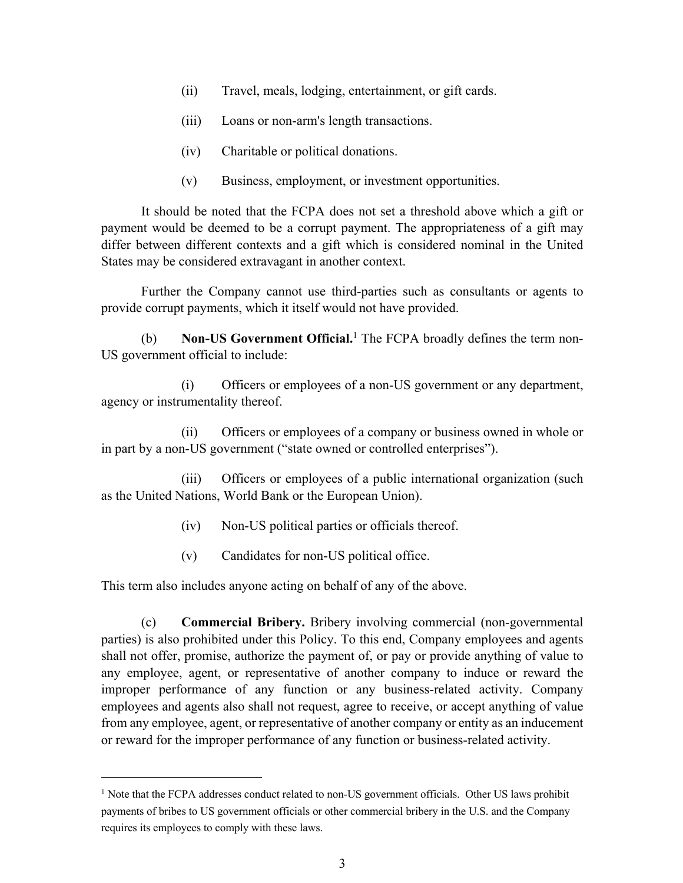- (ii) Travel, meals, lodging, entertainment, or gift cards.
- (iii) Loans or non-arm's length transactions.
- (iv) Charitable or political donations.
- (v) Business, employment, or investment opportunities.

It should be noted that the FCPA does not set a threshold above which a gift or payment would be deemed to be a corrupt payment. The appropriateness of a gift may differ between different contexts and a gift which is considered nominal in the United States may be considered extravagant in another context.

Further the Company cannot use third-parties such as consultants or agents to provide corrupt payments, which it itself would not have provided.

(b) **Non-US Government Official.**<sup>1</sup> The FCPA broadly defines the term non-US government official to include:

(i) Officers or employees of a non-US government or any department, agency or instrumentality thereof.

(ii) Officers or employees of a company or business owned in whole or in part by a non-US government ("state owned or controlled enterprises").

(iii) Officers or employees of a public international organization (such as the United Nations, World Bank or the European Union).

- (iv) Non-US political parties or officials thereof.
- (v) Candidates for non-US political office.

This term also includes anyone acting on behalf of any of the above.

(c) **Commercial Bribery.** Bribery involving commercial (non-governmental parties) is also prohibited under this Policy. To this end, Company employees and agents shall not offer, promise, authorize the payment of, or pay or provide anything of value to any employee, agent, or representative of another company to induce or reward the improper performance of any function or any business-related activity. Company employees and agents also shall not request, agree to receive, or accept anything of value from any employee, agent, or representative of another company or entity as an inducement or reward for the improper performance of any function or business-related activity.

<sup>&</sup>lt;sup>1</sup> Note that the FCPA addresses conduct related to non-US government officials. Other US laws prohibit payments of bribes to US government officials or other commercial bribery in the U.S. and the Company requires its employees to comply with these laws.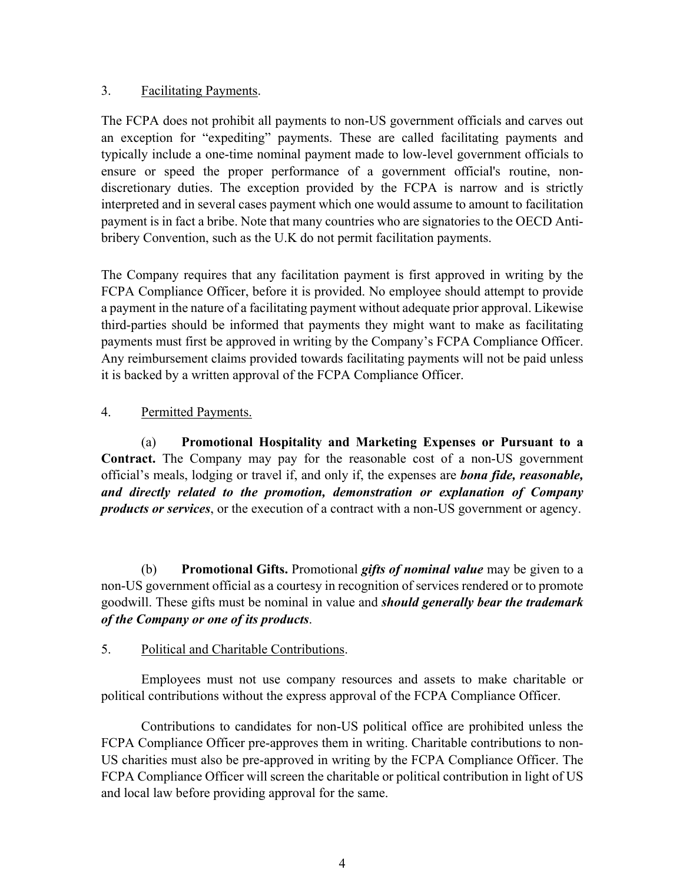# 3. Facilitating Payments.

The FCPA does not prohibit all payments to non-US government officials and carves out an exception for "expediting" payments. These are called facilitating payments and typically include a one-time nominal payment made to low-level government officials to ensure or speed the proper performance of a government official's routine, nondiscretionary duties. The exception provided by the FCPA is narrow and is strictly interpreted and in several cases payment which one would assume to amount to facilitation payment is in fact a bribe. Note that many countries who are signatories to the OECD Antibribery Convention, such as the U.K do not permit facilitation payments.

The Company requires that any facilitation payment is first approved in writing by the FCPA Compliance Officer, before it is provided. No employee should attempt to provide a payment in the nature of a facilitating payment without adequate prior approval. Likewise third-parties should be informed that payments they might want to make as facilitating payments must first be approved in writing by the Company's FCPA Compliance Officer. Any reimbursement claims provided towards facilitating payments will not be paid unless it is backed by a written approval of the FCPA Compliance Officer.

# 4. Permitted Payments.

(a) **Promotional Hospitality and Marketing Expenses or Pursuant to a Contract.** The Company may pay for the reasonable cost of a non-US government official's meals, lodging or travel if, and only if, the expenses are *bona fide, reasonable, and directly related to the promotion, demonstration or explanation of Company products or services*, or the execution of a contract with a non-US government or agency.

(b) **Promotional Gifts.** Promotional *gifts of nominal value* may be given to a non-US government official as a courtesy in recognition of services rendered or to promote goodwill. These gifts must be nominal in value and *should generally bear the trademark of the Company or one of its products*.

### 5. Political and Charitable Contributions.

Employees must not use company resources and assets to make charitable or political contributions without the express approval of the FCPA Compliance Officer.

Contributions to candidates for non-US political office are prohibited unless the FCPA Compliance Officer pre-approves them in writing. Charitable contributions to non-US charities must also be pre-approved in writing by the FCPA Compliance Officer. The FCPA Compliance Officer will screen the charitable or political contribution in light of US and local law before providing approval for the same.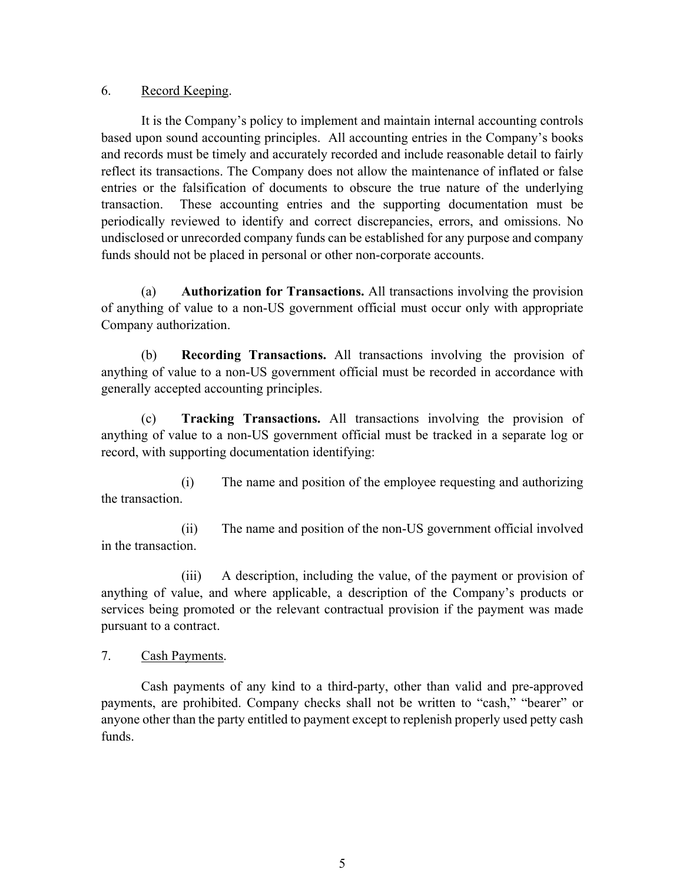### 6. Record Keeping.

It is the Company's policy to implement and maintain internal accounting controls based upon sound accounting principles. All accounting entries in the Company's books and records must be timely and accurately recorded and include reasonable detail to fairly reflect its transactions. The Company does not allow the maintenance of inflated or false entries or the falsification of documents to obscure the true nature of the underlying transaction. These accounting entries and the supporting documentation must be periodically reviewed to identify and correct discrepancies, errors, and omissions. No undisclosed or unrecorded company funds can be established for any purpose and company funds should not be placed in personal or other non-corporate accounts.

(a) **Authorization for Transactions.** All transactions involving the provision of anything of value to a non-US government official must occur only with appropriate Company authorization.

(b) **Recording Transactions.** All transactions involving the provision of anything of value to a non-US government official must be recorded in accordance with generally accepted accounting principles.

(c) **Tracking Transactions.** All transactions involving the provision of anything of value to a non-US government official must be tracked in a separate log or record, with supporting documentation identifying:

(i) The name and position of the employee requesting and authorizing the transaction.

(ii) The name and position of the non-US government official involved in the transaction.

(iii) A description, including the value, of the payment or provision of anything of value, and where applicable, a description of the Company's products or services being promoted or the relevant contractual provision if the payment was made pursuant to a contract.

7. Cash Payments.

Cash payments of any kind to a third-party, other than valid and pre-approved payments, are prohibited. Company checks shall not be written to "cash," "bearer" or anyone other than the party entitled to payment except to replenish properly used petty cash funds.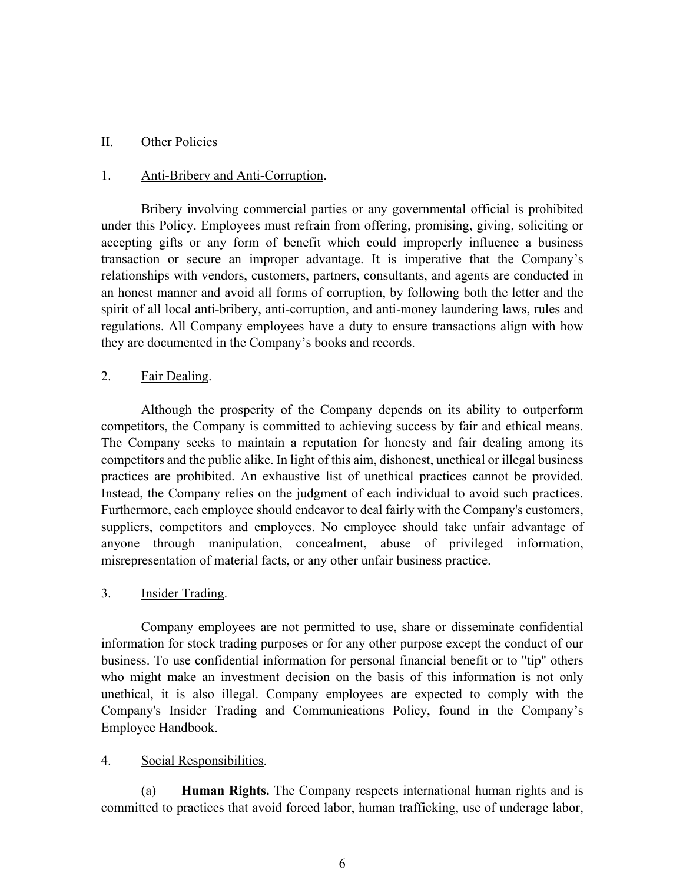#### II. Other Policies

#### 1. Anti-Bribery and Anti-Corruption.

Bribery involving commercial parties or any governmental official is prohibited under this Policy. Employees must refrain from offering, promising, giving, soliciting or accepting gifts or any form of benefit which could improperly influence a business transaction or secure an improper advantage. It is imperative that the Company's relationships with vendors, customers, partners, consultants, and agents are conducted in an honest manner and avoid all forms of corruption, by following both the letter and the spirit of all local anti-bribery, anti-corruption, and anti-money laundering laws, rules and regulations. All Company employees have a duty to ensure transactions align with how they are documented in the Company's books and records.

### 2. Fair Dealing.

Although the prosperity of the Company depends on its ability to outperform competitors, the Company is committed to achieving success by fair and ethical means. The Company seeks to maintain a reputation for honesty and fair dealing among its competitors and the public alike. In light of this aim, dishonest, unethical or illegal business practices are prohibited. An exhaustive list of unethical practices cannot be provided. Instead, the Company relies on the judgment of each individual to avoid such practices. Furthermore, each employee should endeavor to deal fairly with the Company's customers, suppliers, competitors and employees. No employee should take unfair advantage of anyone through manipulation, concealment, abuse of privileged information, misrepresentation of material facts, or any other unfair business practice.

### 3. Insider Trading.

Company employees are not permitted to use, share or disseminate confidential information for stock trading purposes or for any other purpose except the conduct of our business. To use confidential information for personal financial benefit or to "tip" others who might make an investment decision on the basis of this information is not only unethical, it is also illegal. Company employees are expected to comply with the Company's Insider Trading and Communications Policy, found in the Company's Employee Handbook.

### 4. Social Responsibilities.

(a) **Human Rights.** The Company respects international human rights and is committed to practices that avoid forced labor, human trafficking, use of underage labor,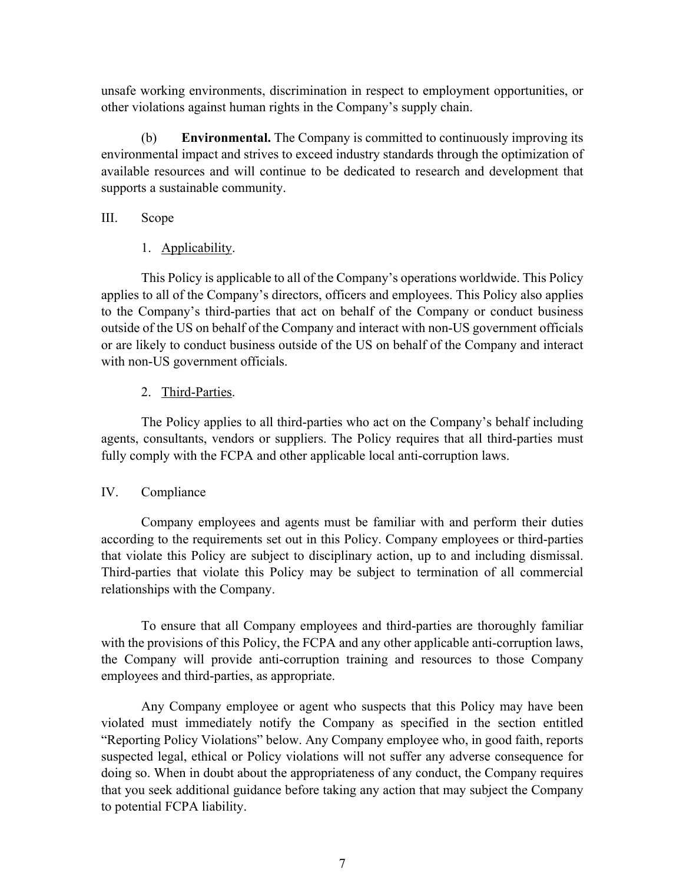unsafe working environments, discrimination in respect to employment opportunities, or other violations against human rights in the Company's supply chain.

(b) **Environmental.** The Company is committed to continuously improving its environmental impact and strives to exceed industry standards through the optimization of available resources and will continue to be dedicated to research and development that supports a sustainable community.

### III. Scope

1. Applicability.

This Policy is applicable to all of the Company's operations worldwide. This Policy applies to all of the Company's directors, officers and employees. This Policy also applies to the Company's third-parties that act on behalf of the Company or conduct business outside of the US on behalf of the Company and interact with non-US government officials or are likely to conduct business outside of the US on behalf of the Company and interact with non-US government officials.

# 2. Third-Parties.

The Policy applies to all third-parties who act on the Company's behalf including agents, consultants, vendors or suppliers. The Policy requires that all third-parties must fully comply with the FCPA and other applicable local anti-corruption laws.

### IV. Compliance

Company employees and agents must be familiar with and perform their duties according to the requirements set out in this Policy. Company employees or third-parties that violate this Policy are subject to disciplinary action, up to and including dismissal. Third-parties that violate this Policy may be subject to termination of all commercial relationships with the Company.

To ensure that all Company employees and third-parties are thoroughly familiar with the provisions of this Policy, the FCPA and any other applicable anti-corruption laws, the Company will provide anti-corruption training and resources to those Company employees and third-parties, as appropriate.

Any Company employee or agent who suspects that this Policy may have been violated must immediately notify the Company as specified in the section entitled "Reporting Policy Violations" below. Any Company employee who, in good faith, reports suspected legal, ethical or Policy violations will not suffer any adverse consequence for doing so. When in doubt about the appropriateness of any conduct, the Company requires that you seek additional guidance before taking any action that may subject the Company to potential FCPA liability.